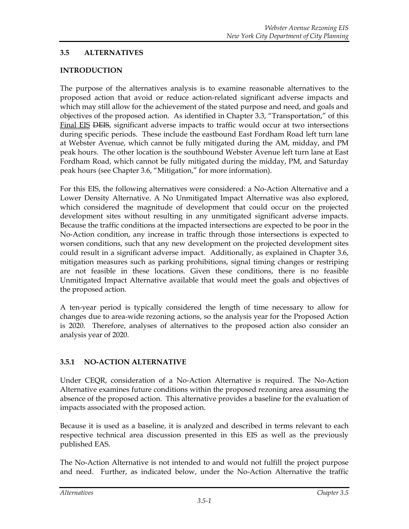### **3.5 ALTERNATIVES**

### **INTRODUCTION**

The purpose of the alternatives analysis is to examine reasonable alternatives to the proposed action that avoid or reduce action-related significant adverse impacts and which may still allow for the achievement of the stated purpose and need, and goals and objectives of the proposed action. As identified in Chapter 3.3, "Transportation," of this Final EIS DEIS, significant adverse impacts to traffic would occur at two intersections during specific periods. These include the eastbound East Fordham Road left turn lane at Webster Avenue, which cannot be fully mitigated during the AM, midday, and PM peak hours. The other location is the southbound Webster Avenue left turn lane at East Fordham Road, which cannot be fully mitigated during the midday, PM, and Saturday peak hours (see Chapter 3.6, "Mitigation," for more information).

For this EIS, the following alternatives were considered: a No-Action Alternative and a Lower Density Alternative. A No Unmitigated Impact Alternative was also explored, which considered the magnitude of development that could occur on the projected development sites without resulting in any unmitigated significant adverse impacts. Because the traffic conditions at the impacted intersections are expected to be poor in the No-Action condition, any increase in traffic through those intersections is expected to worsen conditions, such that any new development on the projected development sites could result in a significant adverse impact. Additionally, as explained in Chapter 3.6, mitigation measures such as parking prohibitions, signal timing changes or restriping are not feasible in these locations. Given these conditions, there is no feasible Unmitigated Impact Alternative available that would meet the goals and objectives of the proposed action.

A ten-year period is typically considered the length of time necessary to allow for changes due to area-wide rezoning actions, so the analysis year for the Proposed Action is 2020. Therefore, analyses of alternatives to the proposed action also consider an analysis year of 2020.

# **3.5.1 NO-ACTION ALTERNATIVE**

Under CEQR, consideration of a No-Action Alternative is required. The No-Action Alternative examines future conditions within the proposed rezoning area assuming the absence of the proposed action. This alternative provides a baseline for the evaluation of impacts associated with the proposed action.

Because it is used as a baseline, it is analyzed and described in terms relevant to each respective technical area discussion presented in this EIS as well as the previously published EAS.

The No-Action Alternative is not intended to and would not fulfill the project purpose and need. Further, as indicated below, under the No-Action Alternative the traffic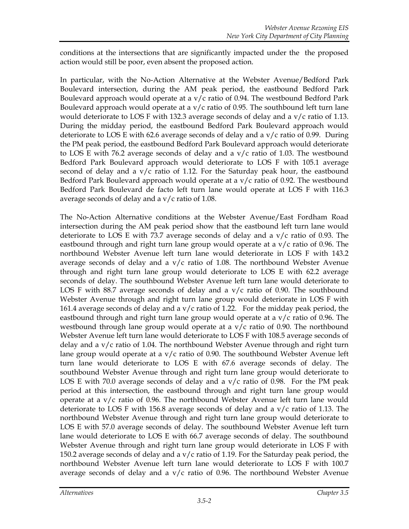conditions at the intersections that are significantly impacted under the the proposed action would still be poor, even absent the proposed action.

In particular, with the No-Action Alternative at the Webster Avenue/Bedford Park Boulevard intersection, during the AM peak period, the eastbound Bedford Park Boulevard approach would operate at a v/c ratio of 0.94. The westbound Bedford Park Boulevard approach would operate at a  $v/c$  ratio of 0.95. The southbound left turn lane would deteriorate to LOS F with 132.3 average seconds of delay and a  $v/c$  ratio of 1.13. During the midday period, the eastbound Bedford Park Boulevard approach would deteriorate to LOS E with 62.6 average seconds of delay and a  $v/c$  ratio of 0.99. During the PM peak period, the eastbound Bedford Park Boulevard approach would deteriorate to LOS E with 76.2 average seconds of delay and a  $v/c$  ratio of 1.03. The westbound Bedford Park Boulevard approach would deteriorate to LOS F with 105.1 average second of delay and a  $v/c$  ratio of 1.12. For the Saturday peak hour, the eastbound Bedford Park Boulevard approach would operate at a  $v/c$  ratio of 0.92. The westbound Bedford Park Boulevard de facto left turn lane would operate at LOS F with 116.3 average seconds of delay and a  $v/c$  ratio of 1.08.

The No-Action Alternative conditions at the Webster Avenue/East Fordham Road intersection during the AM peak period show that the eastbound left turn lane would deteriorate to LOS E with 73.7 average seconds of delay and a  $v/c$  ratio of 0.93. The eastbound through and right turn lane group would operate at a  $v/c$  ratio of 0.96. The northbound Webster Avenue left turn lane would deteriorate in LOS F with 143.2 average seconds of delay and a  $v/c$  ratio of 1.08. The northbound Webster Avenue through and right turn lane group would deteriorate to LOS E with 62.2 average seconds of delay. The southbound Webster Avenue left turn lane would deteriorate to LOS F with 88.7 average seconds of delay and a  $v/c$  ratio of 0.90. The southbound Webster Avenue through and right turn lane group would deteriorate in LOS F with 161.4 average seconds of delay and a v/c ratio of 1.22. For the midday peak period, the eastbound through and right turn lane group would operate at a  $v/c$  ratio of 0.96. The westbound through lane group would operate at a v/c ratio of 0.90. The northbound Webster Avenue left turn lane would deteriorate to LOS F with 108.5 average seconds of delay and a v/c ratio of 1.04. The northbound Webster Avenue through and right turn lane group would operate at a  $v/c$  ratio of 0.90. The southbound Webster Avenue left turn lane would deteriorate to LOS E with 67.6 average seconds of delay. The southbound Webster Avenue through and right turn lane group would deteriorate to LOS E with 70.0 average seconds of delay and a  $v/c$  ratio of 0.98. For the PM peak period at this intersection, the eastbound through and right turn lane group would operate at a v/c ratio of 0.96. The northbound Webster Avenue left turn lane would deteriorate to LOS F with 156.8 average seconds of delay and a  $v/c$  ratio of 1.13. The northbound Webster Avenue through and right turn lane group would deteriorate to LOS E with 57.0 average seconds of delay. The southbound Webster Avenue left turn lane would deteriorate to LOS E with 66.7 average seconds of delay. The southbound Webster Avenue through and right turn lane group would deteriorate in LOS F with 150.2 average seconds of delay and a  $v/c$  ratio of 1.19. For the Saturday peak period, the northbound Webster Avenue left turn lane would deteriorate to LOS F with 100.7 average seconds of delay and a v/c ratio of 0.96. The northbound Webster Avenue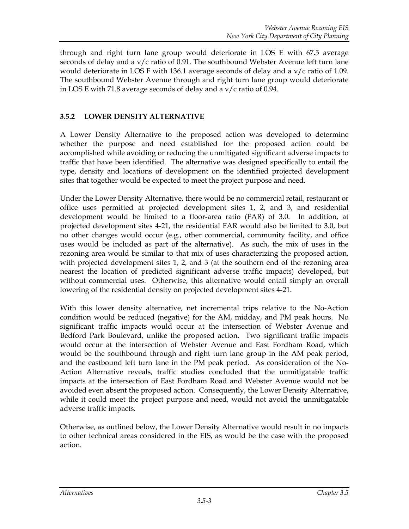through and right turn lane group would deteriorate in LOS E with 67.5 average seconds of delay and a v/c ratio of 0.91. The southbound Webster Avenue left turn lane would deteriorate in LOS F with 136.1 average seconds of delay and a  $v/c$  ratio of 1.09. The southbound Webster Avenue through and right turn lane group would deteriorate in LOS E with 71.8 average seconds of delay and a v/c ratio of 0.94.

# **3.5.2 LOWER DENSITY ALTERNATIVE**

A Lower Density Alternative to the proposed action was developed to determine whether the purpose and need established for the proposed action could be accomplished while avoiding or reducing the unmitigated significant adverse impacts to traffic that have been identified. The alternative was designed specifically to entail the type, density and locations of development on the identified projected development sites that together would be expected to meet the project purpose and need.

Under the Lower Density Alternative, there would be no commercial retail, restaurant or office uses permitted at projected development sites 1, 2, and 3, and residential development would be limited to a floor-area ratio (FAR) of 3.0. In addition, at projected development sites 4-21, the residential FAR would also be limited to 3.0, but no other changes would occur (e.g., other commercial, community facility, and office uses would be included as part of the alternative). As such, the mix of uses in the rezoning area would be similar to that mix of uses characterizing the proposed action, with projected development sites 1, 2, and 3 (at the southern end of the rezoning area nearest the location of predicted significant adverse traffic impacts) developed, but without commercial uses. Otherwise, this alternative would entail simply an overall lowering of the residential density on projected development sites 4-21.

With this lower density alternative, net incremental trips relative to the No-Action condition would be reduced (negative) for the AM, midday, and PM peak hours. No significant traffic impacts would occur at the intersection of Webster Avenue and Bedford Park Boulevard, unlike the proposed action. Two significant traffic impacts would occur at the intersection of Webster Avenue and East Fordham Road, which would be the southbound through and right turn lane group in the AM peak period, and the eastbound left turn lane in the PM peak period. As consideration of the No-Action Alternative reveals, traffic studies concluded that the unmitigatable traffic impacts at the intersection of East Fordham Road and Webster Avenue would not be avoided even absent the proposed action. Consequently, the Lower Density Alternative, while it could meet the project purpose and need, would not avoid the unmitigatable adverse traffic impacts.

Otherwise, as outlined below, the Lower Density Alternative would result in no impacts to other technical areas considered in the EIS, as would be the case with the proposed action.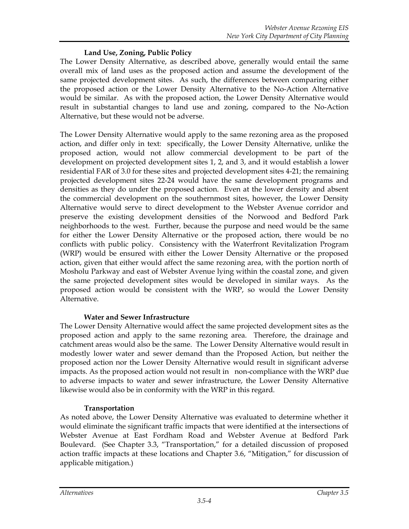### **Land Use, Zoning, Public Policy**

The Lower Density Alternative, as described above, generally would entail the same overall mix of land uses as the proposed action and assume the development of the same projected development sites. As such, the differences between comparing either the proposed action or the Lower Density Alternative to the No-Action Alternative would be similar. As with the proposed action, the Lower Density Alternative would result in substantial changes to land use and zoning, compared to the No-Action Alternative, but these would not be adverse.

The Lower Density Alternative would apply to the same rezoning area as the proposed action, and differ only in text: specifically, the Lower Density Alternative, unlike the proposed action, would not allow commercial development to be part of the development on projected development sites 1, 2, and 3, and it would establish a lower residential FAR of 3.0 for these sites and projected development sites 4-21; the remaining projected development sites 22-24 would have the same development programs and densities as they do under the proposed action. Even at the lower density and absent the commercial development on the southernmost sites, however, the Lower Density Alternative would serve to direct development to the Webster Avenue corridor and preserve the existing development densities of the Norwood and Bedford Park neighborhoods to the west. Further, because the purpose and need would be the same for either the Lower Density Alternative or the proposed action, there would be no conflicts with public policy. Consistency with the Waterfront Revitalization Program (WRP) would be ensured with either the Lower Density Alternative or the proposed action, given that either would affect the same rezoning area, with the portion north of Mosholu Parkway and east of Webster Avenue lying within the coastal zone, and given the same projected development sites would be developed in similar ways. As the proposed action would be consistent with the WRP, so would the Lower Density Alternative.

# **Water and Sewer Infrastructure**

The Lower Density Alternative would affect the same projected development sites as the proposed action and apply to the same rezoning area. Therefore, the drainage and catchment areas would also be the same. The Lower Density Alternative would result in modestly lower water and sewer demand than the Proposed Action, but neither the proposed action nor the Lower Density Alternative would result in significant adverse impacts. As the proposed action would not result in non-compliance with the WRP due to adverse impacts to water and sewer infrastructure, the Lower Density Alternative likewise would also be in conformity with the WRP in this regard.

#### **Transportation**

As noted above, the Lower Density Alternative was evaluated to determine whether it would eliminate the significant traffic impacts that were identified at the intersections of Webster Avenue at East Fordham Road and Webster Avenue at Bedford Park Boulevard. (See Chapter 3.3, "Transportation," for a detailed discussion of proposed action traffic impacts at these locations and Chapter 3.6, "Mitigation," for discussion of applicable mitigation.)